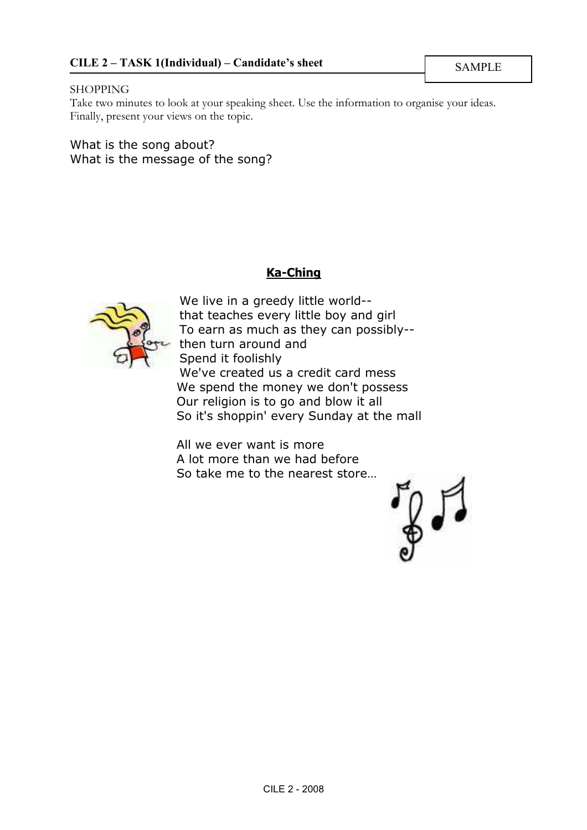## SHOPPING

Take two minutes to look at your speaking sheet. Use the information to organise your ideas. Finally, present your views on the topic.

What is the song about? What is the message of the song?

# Ka-Ching

We live in a greedy little world- that teaches every little boy and girl To earn as much as they can possibly- then turn around and Spend it foolishly We've created us a credit card mess We spend the money we don't possess Our religion is to go and blow it all So it's shoppin' every Sunday at the mall

All we ever want is more A lot more than we had before So take me to the nearest store…



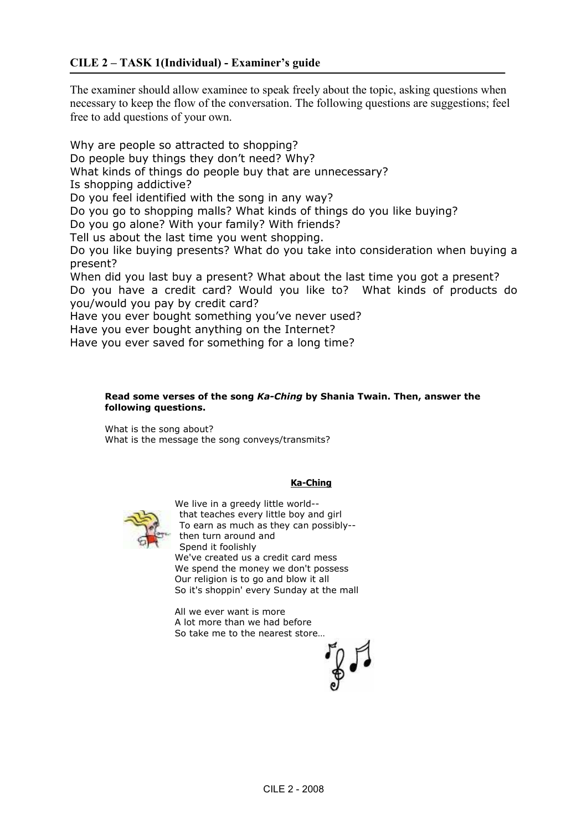The examiner should allow examinee to speak freely about the topic, asking questions when necessary to keep the flow of the conversation. The following questions are suggestions; feel free to add questions of your own.

Why are people so attracted to shopping? Do people buy things they don't need? Why? What kinds of things do people buy that are unnecessary? Is shopping addictive? Do you feel identified with the song in any way? Do you go to shopping malls? What kinds of things do you like buying? Do you go alone? With your family? With friends? Tell us about the last time you went shopping. Do you like buying presents? What do you take into consideration when buying a present? When did you last buy a present? What about the last time you got a present? Do you have a credit card? Would you like to? What kinds of products do you/would you pay by credit card? Have you ever bought something you've never used? Have you ever bought anything on the Internet?

Have you ever saved for something for a long time?

#### Read some verses of the song Ka-Ching by Shania Twain. Then, answer the following questions.

What is the song about? What is the message the song conveys/transmits?

#### Ka-Ching



We live in a greedy little world- that teaches every little boy and girl To earn as much as they can possibly- then turn around and Spend it foolishly We've created us a credit card mess We spend the money we don't possess Our religion is to go and blow it all So it's shoppin' every Sunday at the mall

All we ever want is more A lot more than we had before So take me to the nearest store…